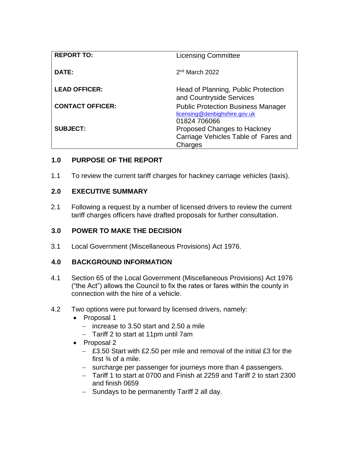| <b>REPORT TO:</b>       | <b>Licensing Committee</b>                                                                 |
|-------------------------|--------------------------------------------------------------------------------------------|
| DATE:                   | 2 <sup>nd</sup> March 2022                                                                 |
| <b>LEAD OFFICER:</b>    | Head of Planning, Public Protection<br>and Countryside Services                            |
| <b>CONTACT OFFICER:</b> | <b>Public Protection Business Manager</b><br>licensing@denbighshire.gov.uk<br>01824 706066 |
| <b>SUBJECT:</b>         | Proposed Changes to Hackney<br>Carriage Vehicles Table of Fares and<br>Charges             |

## **1.0 PURPOSE OF THE REPORT**

1.1 To review the current tariff charges for hackney carriage vehicles (taxis).

### **2.0 EXECUTIVE SUMMARY**

2.1 Following a request by a number of licensed drivers to review the current tariff charges officers have drafted proposals for further consultation.

#### **3.0 POWER TO MAKE THE DECISION**

3.1 Local Government (Miscellaneous Provisions) Act 1976.

## **4.0 BACKGROUND INFORMATION**

- 4.1 Section 65 of the Local Government (Miscellaneous Provisions) Act 1976 ("the Act") allows the Council to fix the rates or fares within the county in connection with the hire of a vehicle.
- 4.2 Two options were put forward by licensed drivers, namely:
	- Proposal 1
		- $-$  increase to 3.50 start and 2.50 a mile
		- Tariff 2 to start at 11pm until 7am
	- Proposal 2
		- £3.50 Start with £2.50 per mile and removal of the initial £3 for the first  $\frac{3}{4}$  of a mile.
		- surcharge per passenger for journeys more than 4 passengers.
		- Tariff 1 to start at 0700 and Finish at 2259 and Tariff 2 to start 2300 and finish 0659
		- $-$  Sundays to be permanently Tariff 2 all day.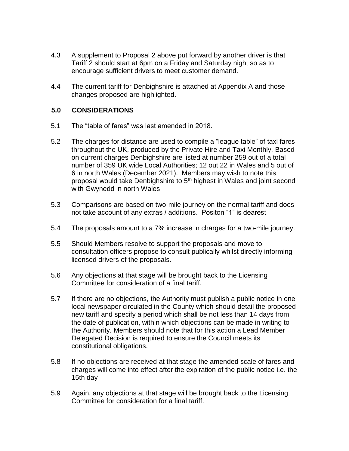- 4.3 A supplement to Proposal 2 above put forward by another driver is that Tariff 2 should start at 6pm on a Friday and Saturday night so as to encourage sufficient drivers to meet customer demand.
- 4.4 The current tariff for Denbighshire is attached at Appendix A and those changes proposed are highlighted.

### **5.0 CONSIDERATIONS**

- 5.1 The "table of fares" was last amended in 2018.
- 5.2 The charges for distance are used to compile a "league table" of taxi fares throughout the UK, produced by the Private Hire and Taxi Monthly. Based on current charges Denbighshire are listed at number 259 out of a total number of 359 UK wide Local Authorities; 12 out 22 in Wales and 5 out of 6 in north Wales (December 2021). Members may wish to note this proposal would take Denbighshire to 5<sup>th</sup> highest in Wales and joint second with Gwynedd in north Wales
- 5.3 Comparisons are based on two-mile journey on the normal tariff and does not take account of any extras / additions. Positon "1" is dearest
- 5.4 The proposals amount to a 7% increase in charges for a two-mile journey.
- 5.5 Should Members resolve to support the proposals and move to consultation officers propose to consult publically whilst directly informing licensed drivers of the proposals.
- 5.6 Any objections at that stage will be brought back to the Licensing Committee for consideration of a final tariff.
- 5.7 If there are no objections, the Authority must publish a public notice in one local newspaper circulated in the County which should detail the proposed new tariff and specify a period which shall be not less than 14 days from the date of publication, within which objections can be made in writing to the Authority. Members should note that for this action a Lead Member Delegated Decision is required to ensure the Council meets its constitutional obligations.
- 5.8 If no objections are received at that stage the amended scale of fares and charges will come into effect after the expiration of the public notice i.e. the 15th day
- 5.9 Again, any objections at that stage will be brought back to the Licensing Committee for consideration for a final tariff.